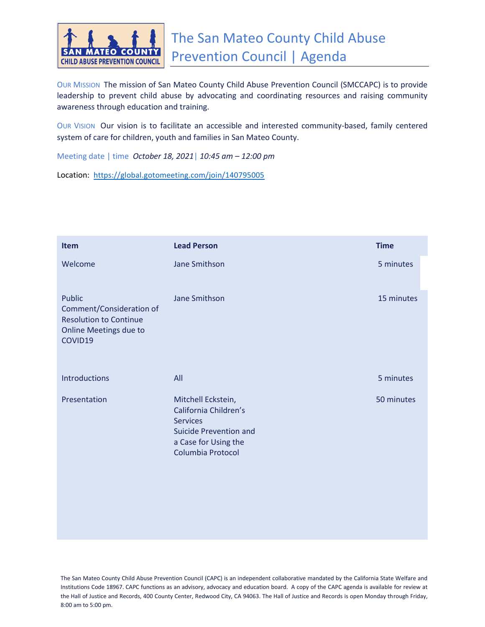

OUR MISSION The mission of San Mateo County Child Abuse Prevention Council (SMCCAPC) is to provide leadership to prevent child abuse by advocating and coordinating resources and raising community awareness through education and training.

OUR VISION Our vision is to facilitate an accessible and interested community-based, family centered system of care for children, youth and families in San Mateo County.

Meeting date | time *October 18, 2021*| *10:45 am – 12:00 pm*

Location: [https://global.gotomeeting.com/join/140795005](https://www.google.com/url?q=https://global.gotomeeting.com/join/140795005&sa=D&source=calendar&ust=1632610116961260&usg=AOvVaw0x9WRv0YKWoxjHG-TxVPJ3)

| <b>Item</b>                                                                                              | <b>Lead Person</b>                                                                                                                           | <b>Time</b> |
|----------------------------------------------------------------------------------------------------------|----------------------------------------------------------------------------------------------------------------------------------------------|-------------|
| Welcome                                                                                                  | Jane Smithson                                                                                                                                | 5 minutes   |
| Public<br>Comment/Consideration of<br><b>Resolution to Continue</b><br>Online Meetings due to<br>COVID19 | Jane Smithson                                                                                                                                | 15 minutes  |
| <b>Introductions</b>                                                                                     | All                                                                                                                                          | 5 minutes   |
| Presentation                                                                                             | Mitchell Eckstein,<br>California Children's<br><b>Services</b><br><b>Suicide Prevention and</b><br>a Case for Using the<br>Columbia Protocol | 50 minutes  |

The San Mateo County Child Abuse Prevention Council (CAPC) is an independent collaborative mandated by the California State Welfare and Institutions Code 18967. CAPC functions as an advisory, advocacy and education board. A copy of the CAPC agenda is available for review at the Hall of Justice and Records, 400 County Center, Redwood City, CA 94063. The Hall of Justice and Records is open Monday through Friday, 8:00 am to 5:00 pm.